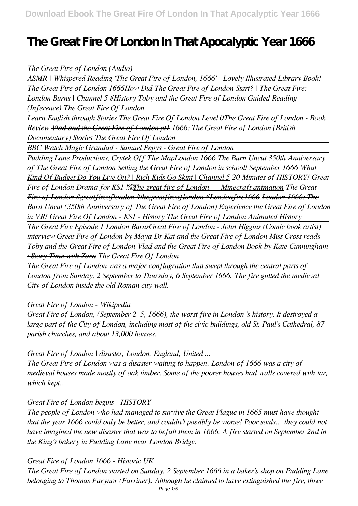# **The Great Fire Of London In That Apocalyptic Year 1666**

## *The Great Fire of London (Audio)*

*ASMR | Whispered Reading 'The Great Fire of London, 1666' - Lovely Illustrated Library Book! The Great Fire of London 1666How Did The Great Fire of London Start? | The Great Fire: London Burns | Channel 5 #History Toby and the Great Fire of London Guided Reading (Inference) The Great Fire Of London*

*Learn English through Stories The Great Fire Of London Level 0The Great Fire of London - Book Review Vlad and the Great Fire of London pt1 1666: The Great Fire of London (British Documentary) Stories The Great Fire Of London*

*BBC Watch Magic Grandad - Samuel Pepys - Great Fire of London*

*Pudding Lane Productions, Crytek Off The MapLondon 1666 The Burn Uncut 350th Anniversary of The Great Fire of London Setting the Great Fire of London in school! September 1666 What Kind Of Budget Do You Live On? | Rich Kids Go Skint | Channel 5 20 Minutes of HISTORY! Great Fire of London Drama for KS1 The great fire of London — Minecraft animation The Great Fire of London #greatfireoflondon #thegreatfireoflondon #Londonfire1666 London 1666: The Burn Uncut (350th Anniversary of The Great Fire of London) Experience the Great Fire of London in VR! Great Fire Of London - KS1 - History The Great Fire of London Animated History*

*The Great Fire Episode 1 London BurnsGreat Fire of London - John Higgins (Comic book artist) interview Great Fire of London by Maya Dr Kat and the Great Fire of London Miss Cross reads Toby and the Great Fire of London Vlad and the Great Fire of London Book by Kate Cunningham : Story Time with Zara The Great Fire Of London*

*The Great Fire of London was a major conflagration that swept through the central parts of London from Sunday, 2 September to Thursday, 6 September 1666. The fire gutted the medieval City of London inside the old Roman city wall.*

*Great Fire of London - Wikipedia*

*Great Fire of London, (September 2–5, 1666), the worst fire in London 's history. It destroyed a large part of the City of London, including most of the civic buildings, old St. Paul's Cathedral, 87 parish churches, and about 13,000 houses.*

*Great Fire of London | disaster, London, England, United ...*

*The Great Fire of London was a disaster waiting to happen. London of 1666 was a city of medieval houses made mostly of oak timber. Some of the poorer houses had walls covered with tar, which kept...*

## *Great Fire of London begins - HISTORY*

*The people of London who had managed to survive the Great Plague in 1665 must have thought that the year 1666 could only be better, and couldn't possibly be worse! Poor souls… they could not have imagined the new disaster that was to befall them in 1666. A fire started on September 2nd in the King's bakery in Pudding Lane near London Bridge.*

*Great Fire of London 1666 - Historic UK*

*The Great Fire of London started on Sunday, 2 September 1666 in a baker's shop on Pudding Lane belonging to Thomas Farynor (Farriner). Although he claimed to have extinguished the fire, three*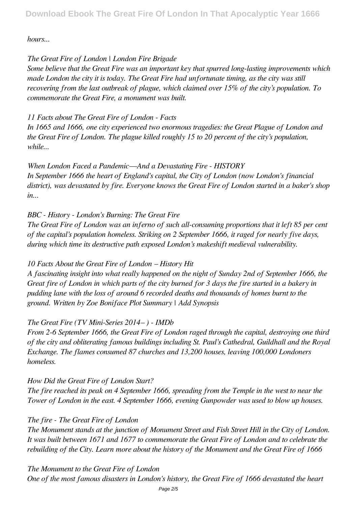*hours...*

## *The Great Fire of London | London Fire Brigade*

*Some believe that the Great Fire was an important key that spurred long-lasting improvements which made London the city it is today. The Great Fire had unfortunate timing, as the city was still recovering from the last outbreak of plague, which claimed over 15% of the city's population. To commemorate the Great Fire, a monument was built.*

## *11 Facts about The Great Fire of London - Facts*

*In 1665 and 1666, one city experienced two enormous tragedies: the Great Plague of London and the Great Fire of London. The plague killed roughly 15 to 20 percent of the city's population, while...*

*When London Faced a Pandemic—And a Devastating Fire - HISTORY In September 1666 the heart of England's capital, the City of London (now London's financial district), was devastated by fire. Everyone knows the Great Fire of London started in a baker's shop in...*

# *BBC - History - London's Burning: The Great Fire*

*The Great Fire of London was an inferno of such all-consuming proportions that it left 85 per cent of the capital's population homeless. Striking on 2 September 1666, it raged for nearly five days, during which time its destructive path exposed London's makeshift medieval vulnerability.*

# *10 Facts About the Great Fire of London – History Hit*

*A fascinating insight into what really happened on the night of Sunday 2nd of September 1666, the Great fire of London in which parts of the city burned for 3 days the fire started in a bakery in pudding lane with the loss of around 6 recorded deaths and thousands of homes burnt to the ground. Written by Zoe Boniface Plot Summary | Add Synopsis*

# *The Great Fire (TV Mini-Series 2014– ) - IMDb*

*From 2-6 September 1666, the Great Fire of London raged through the capital, destroying one third of the city and obliterating famous buildings including St. Paul's Cathedral, Guildhall and the Royal Exchange. The flames consumed 87 churches and 13,200 houses, leaving 100,000 Londoners homeless.*

# *How Did the Great Fire of London Start?*

*The fire reached its peak on 4 September 1666, spreading from the Temple in the west to near the Tower of London in the east. 4 September 1666, evening Gunpowder was used to blow up houses.*

# *The fire - The Great Fire of London*

*The Monument stands at the junction of Monument Street and Fish Street Hill in the City of London. It was built between 1671 and 1677 to commemorate the Great Fire of London and to celebrate the rebuilding of the City. Learn more about the history of the Monument and the Great Fire of 1666*

*The Monument to the Great Fire of London One of the most famous disasters in London's history, the Great Fire of 1666 devastated the heart*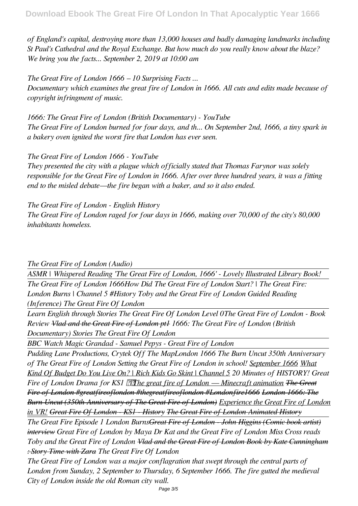*of England's capital, destroying more than 13,000 houses and badly damaging landmarks including St Paul's Cathedral and the Royal Exchange. But how much do you really know about the blaze? We bring you the facts... September 2, 2019 at 10:00 am*

*The Great Fire of London 1666 – 10 Surprising Facts ... Documentary which examines the great fire of London in 1666. All cuts and edits made because of copyright infringment of music.*

*1666: The Great Fire of London (British Documentary) - YouTube The Great Fire of London burned for four days, and th... On September 2nd, 1666, a tiny spark in a bakery oven ignited the worst fire that London has ever seen.*

*The Great Fire of London 1666 - YouTube*

*They presented the city with a plague which officially stated that Thomas Farynor was solely responsible for the Great Fire of London in 1666. After over three hundred years, it was a fitting end to the misled debate—the fire began with a baker, and so it also ended.*

*The Great Fire of London - English History The Great Fire of London raged for four days in 1666, making over 70,000 of the city's 80,000 inhabitants homeless.*

*The Great Fire of London (Audio)* 

*ASMR | Whispered Reading 'The Great Fire of London, 1666' - Lovely Illustrated Library Book! The Great Fire of London 1666How Did The Great Fire of London Start? | The Great Fire: London Burns | Channel 5 #History Toby and the Great Fire of London Guided Reading (Inference) The Great Fire Of London*

*Learn English through Stories The Great Fire Of London Level 0The Great Fire of London - Book Review Vlad and the Great Fire of London pt1 1666: The Great Fire of London (British Documentary) Stories The Great Fire Of London*

*BBC Watch Magic Grandad - Samuel Pepys - Great Fire of London*

*Pudding Lane Productions, Crytek Off The MapLondon 1666 The Burn Uncut 350th Anniversary of The Great Fire of London Setting the Great Fire of London in school! September 1666 What Kind Of Budget Do You Live On? | Rich Kids Go Skint | Channel 5 20 Minutes of HISTORY! Great Fire of London Drama for KS1 The great fire of London — Minecraft animation The Great Fire of London #greatfireoflondon #thegreatfireoflondon #Londonfire1666 London 1666: The Burn Uncut (350th Anniversary of The Great Fire of London) Experience the Great Fire of London in VR! Great Fire Of London - KS1 - History The Great Fire of London Animated History*

*The Great Fire Episode 1 London BurnsGreat Fire of London - John Higgins (Comic book artist) interview Great Fire of London by Maya Dr Kat and the Great Fire of London Miss Cross reads Toby and the Great Fire of London Vlad and the Great Fire of London Book by Kate Cunningham : Story Time with Zara The Great Fire Of London*

*The Great Fire of London was a major conflagration that swept through the central parts of London from Sunday, 2 September to Thursday, 6 September 1666. The fire gutted the medieval City of London inside the old Roman city wall.*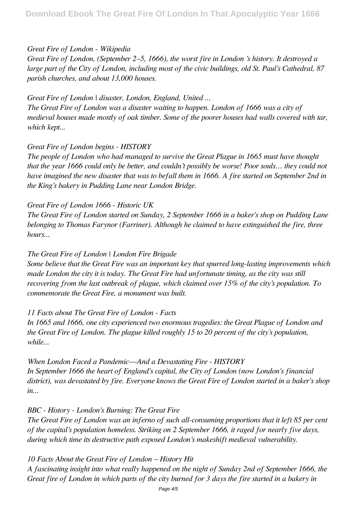## *Great Fire of London - Wikipedia*

*Great Fire of London, (September 2–5, 1666), the worst fire in London 's history. It destroyed a large part of the City of London, including most of the civic buildings, old St. Paul's Cathedral, 87 parish churches, and about 13,000 houses.*

*Great Fire of London | disaster, London, England, United ... The Great Fire of London was a disaster waiting to happen. London of 1666 was a city of medieval houses made mostly of oak timber. Some of the poorer houses had walls covered with tar, which kept...*

#### *Great Fire of London begins - HISTORY*

*The people of London who had managed to survive the Great Plague in 1665 must have thought that the year 1666 could only be better, and couldn't possibly be worse! Poor souls… they could not have imagined the new disaster that was to befall them in 1666. A fire started on September 2nd in the King's bakery in Pudding Lane near London Bridge.*

#### *Great Fire of London 1666 - Historic UK*

*The Great Fire of London started on Sunday, 2 September 1666 in a baker's shop on Pudding Lane belonging to Thomas Farynor (Farriner). Although he claimed to have extinguished the fire, three hours...*

#### *The Great Fire of London | London Fire Brigade*

*Some believe that the Great Fire was an important key that spurred long-lasting improvements which made London the city it is today. The Great Fire had unfortunate timing, as the city was still recovering from the last outbreak of plague, which claimed over 15% of the city's population. To commemorate the Great Fire, a monument was built.*

#### *11 Facts about The Great Fire of London - Facts*

*In 1665 and 1666, one city experienced two enormous tragedies: the Great Plague of London and the Great Fire of London. The plague killed roughly 15 to 20 percent of the city's population, while...*

*When London Faced a Pandemic—And a Devastating Fire - HISTORY In September 1666 the heart of England's capital, the City of London (now London's financial district), was devastated by fire. Everyone knows the Great Fire of London started in a baker's shop in...*

#### *BBC - History - London's Burning: The Great Fire*

*The Great Fire of London was an inferno of such all-consuming proportions that it left 85 per cent of the capital's population homeless. Striking on 2 September 1666, it raged for nearly five days, during which time its destructive path exposed London's makeshift medieval vulnerability.*

#### *10 Facts About the Great Fire of London – History Hit*

*A fascinating insight into what really happened on the night of Sunday 2nd of September 1666, the Great fire of London in which parts of the city burned for 3 days the fire started in a bakery in*